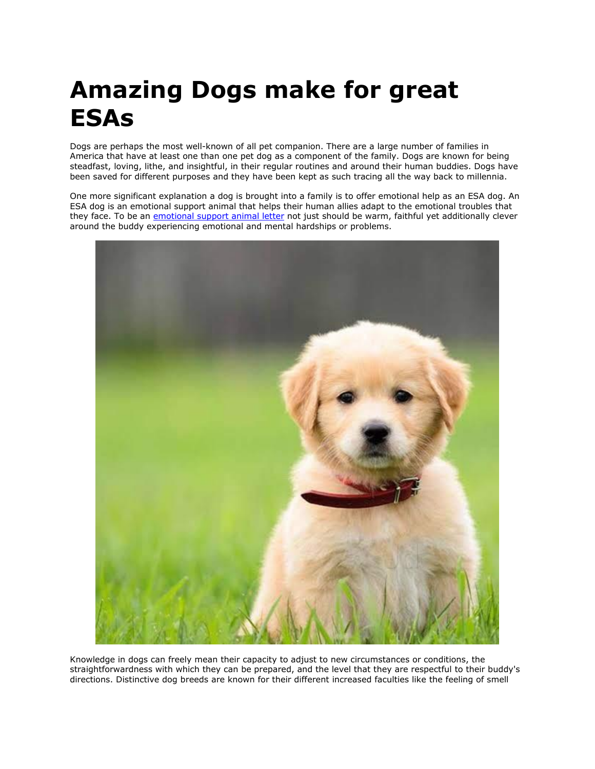# **Amazing Dogs make for great ESAs**

Dogs are perhaps the most well-known of all pet companion. There are a large number of families in America that have at least one than one pet dog as a component of the family. Dogs are known for being steadfast, loving, lithe, and insightful, in their regular routines and around their human buddies. Dogs have been saved for different purposes and they have been kept as such tracing all the way back to millennia.

One more significant explanation a dog is brought into a family is to offer emotional help as an ESA dog. An ESA dog is an emotional support animal that helps their human allies adapt to the emotional troubles that they face. To be an [emotional support animal letter](https://www.realesaletter.com/sample-esa-letter) not just should be warm, faithful yet additionally clever around the buddy experiencing emotional and mental hardships or problems.



Knowledge in dogs can freely mean their capacity to adjust to new circumstances or conditions, the straightforwardness with which they can be prepared, and the level that they are respectful to their buddy's directions. Distinctive dog breeds are known for their different increased faculties like the feeling of smell